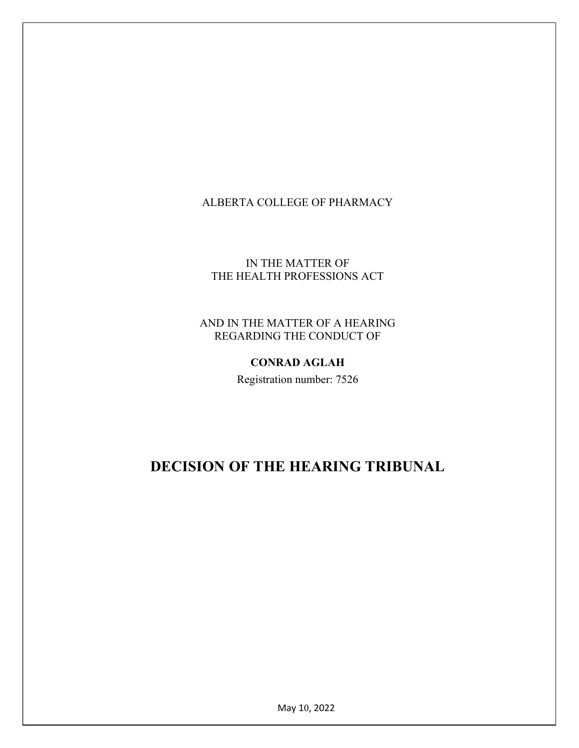# ALBERTA COLLEGE OF PHARMACY

### IN THE MATTER OF THE HEALTH PROFESSIONS ACT

### AND IN THE MATTER OF A HEARING REGARDING THE CONDUCT OF

### CONRAD AGLAH

Registration number: 7526

# DECISION OF THE HEARING TRIBUNAL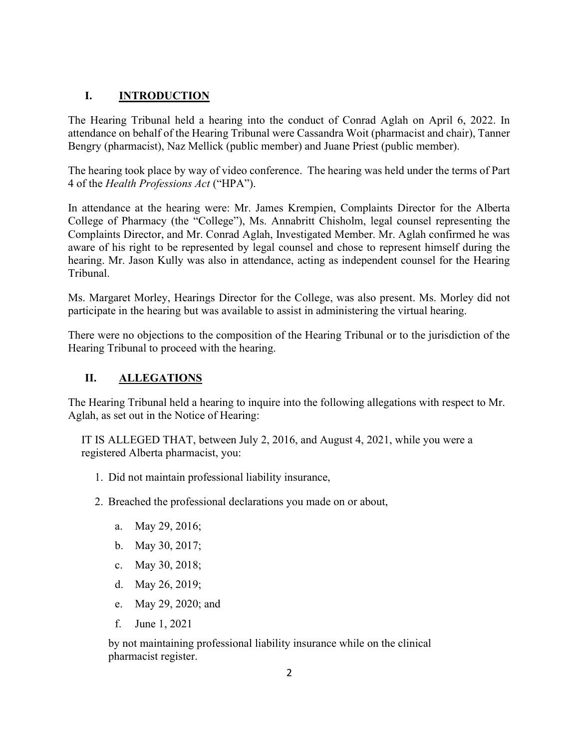## I. INTRODUCTION

The Hearing Tribunal held a hearing into the conduct of Conrad Aglah on April 6, 2022. In attendance on behalf of the Hearing Tribunal were Cassandra Woit (pharmacist and chair), Tanner Bengry (pharmacist), Naz Mellick (public member) and Juane Priest (public member).

The hearing took place by way of video conference. The hearing was held under the terms of Part 4 of the Health Professions Act ("HPA").

In attendance at the hearing were: Mr. James Krempien, Complaints Director for the Alberta College of Pharmacy (the "College"), Ms. Annabritt Chisholm, legal counsel representing the Complaints Director, and Mr. Conrad Aglah, Investigated Member. Mr. Aglah confirmed he was aware of his right to be represented by legal counsel and chose to represent himself during the hearing. Mr. Jason Kully was also in attendance, acting as independent counsel for the Hearing Tribunal.

Ms. Margaret Morley, Hearings Director for the College, was also present. Ms. Morley did not participate in the hearing but was available to assist in administering the virtual hearing.

There were no objections to the composition of the Hearing Tribunal or to the jurisdiction of the Hearing Tribunal to proceed with the hearing.

# II. ALLEGATIONS

The Hearing Tribunal held a hearing to inquire into the following allegations with respect to Mr. Aglah, as set out in the Notice of Hearing:

IT IS ALLEGED THAT, between July 2, 2016, and August 4, 2021, while you were a registered Alberta pharmacist, you:

- 1. Did not maintain professional liability insurance,
- 2. Breached the professional declarations you made on or about,
	- a. May 29, 2016;
	- b. May 30, 2017;
	- c. May 30, 2018;
	- d. May 26, 2019;
	- e. May 29, 2020; and
	- f. June 1, 2021

by not maintaining professional liability insurance while on the clinical pharmacist register.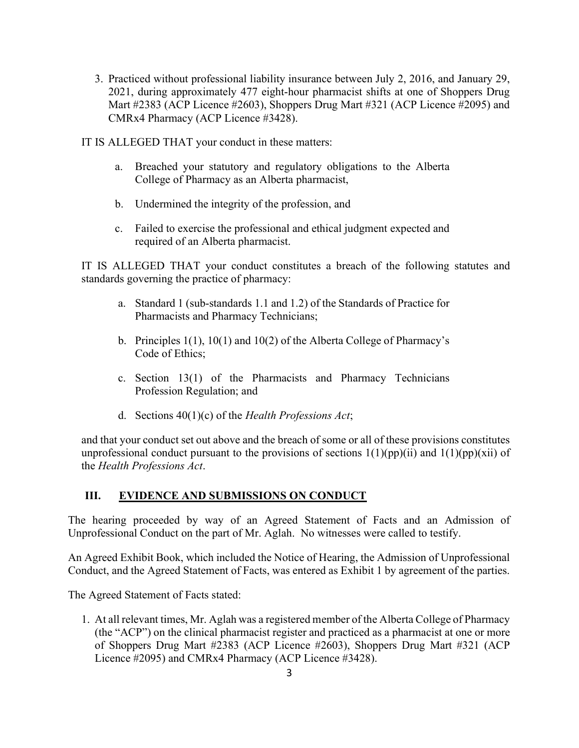3. Practiced without professional liability insurance between July 2, 2016, and January 29, 2021, during approximately 477 eight-hour pharmacist shifts at one of Shoppers Drug Mart #2383 (ACP Licence #2603), Shoppers Drug Mart #321 (ACP Licence #2095) and CMRx4 Pharmacy (ACP Licence #3428).

IT IS ALLEGED THAT your conduct in these matters:

- a. Breached your statutory and regulatory obligations to the Alberta College of Pharmacy as an Alberta pharmacist,
- b. Undermined the integrity of the profession, and
- c. Failed to exercise the professional and ethical judgment expected and required of an Alberta pharmacist.

IT IS ALLEGED THAT your conduct constitutes a breach of the following statutes and standards governing the practice of pharmacy:

- a. Standard 1 (sub-standards 1.1 and 1.2) of the Standards of Practice for Pharmacists and Pharmacy Technicians;
- b. Principles 1(1), 10(1) and 10(2) of the Alberta College of Pharmacy's Code of Ethics;
- c. Section 13(1) of the Pharmacists and Pharmacy Technicians Profession Regulation; and
- d. Sections  $40(1)(c)$  of the Health Professions Act;

and that your conduct set out above and the breach of some or all of these provisions constitutes unprofessional conduct pursuant to the provisions of sections  $1(1)(pp)(ii)$  and  $1(1)(pp)(xii)$  of the Health Professions Act.

### III. EVIDENCE AND SUBMISSIONS ON CONDUCT

The hearing proceeded by way of an Agreed Statement of Facts and an Admission of Unprofessional Conduct on the part of Mr. Aglah. No witnesses were called to testify.

An Agreed Exhibit Book, which included the Notice of Hearing, the Admission of Unprofessional Conduct, and the Agreed Statement of Facts, was entered as Exhibit 1 by agreement of the parties.

The Agreed Statement of Facts stated:

1. At all relevant times, Mr. Aglah was a registered member of the Alberta College of Pharmacy (the "ACP") on the clinical pharmacist register and practiced as a pharmacist at one or more of Shoppers Drug Mart #2383 (ACP Licence #2603), Shoppers Drug Mart #321 (ACP Licence #2095) and CMRx4 Pharmacy (ACP Licence #3428).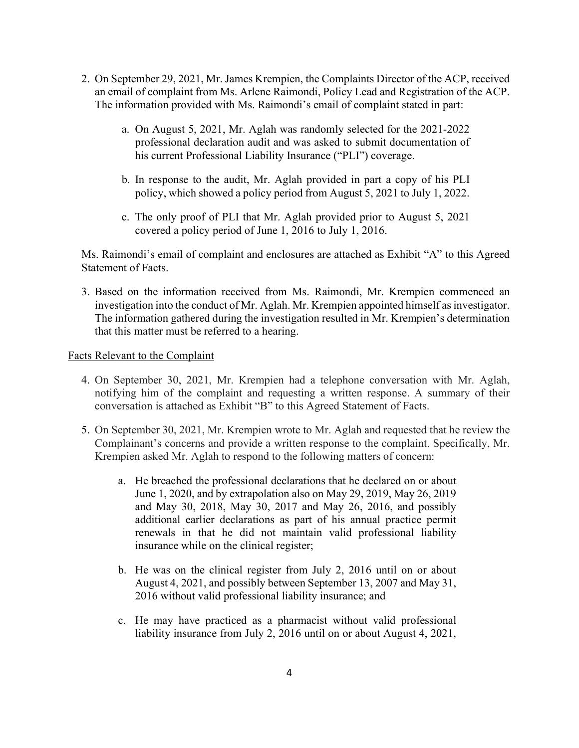- 2. On September 29, 2021, Mr. James Krempien, the Complaints Director of the ACP, received an email of complaint from Ms. Arlene Raimondi, Policy Lead and Registration of the ACP. The information provided with Ms. Raimondi's email of complaint stated in part:
	- a. On August 5, 2021, Mr. Aglah was randomly selected for the 2021-2022 professional declaration audit and was asked to submit documentation of his current Professional Liability Insurance ("PLI") coverage.
	- b. In response to the audit, Mr. Aglah provided in part a copy of his PLI policy, which showed a policy period from August 5, 2021 to July 1, 2022.
	- c. The only proof of PLI that Mr. Aglah provided prior to August 5, 2021 covered a policy period of June 1, 2016 to July 1, 2016.

Ms. Raimondi's email of complaint and enclosures are attached as Exhibit "A" to this Agreed Statement of Facts.

3. Based on the information received from Ms. Raimondi, Mr. Krempien commenced an investigation into the conduct of Mr. Aglah. Mr. Krempien appointed himself as investigator. The information gathered during the investigation resulted in Mr. Krempien's determination that this matter must be referred to a hearing.

#### Facts Relevant to the Complaint

- 4. On September 30, 2021, Mr. Krempien had a telephone conversation with Mr. Aglah, notifying him of the complaint and requesting a written response. A summary of their conversation is attached as Exhibit "B" to this Agreed Statement of Facts.
- 5. On September 30, 2021, Mr. Krempien wrote to Mr. Aglah and requested that he review the Complainant's concerns and provide a written response to the complaint. Specifically, Mr. Krempien asked Mr. Aglah to respond to the following matters of concern:
	- a. He breached the professional declarations that he declared on or about June 1, 2020, and by extrapolation also on May 29, 2019, May 26, 2019 and May 30, 2018, May 30, 2017 and May 26, 2016, and possibly additional earlier declarations as part of his annual practice permit renewals in that he did not maintain valid professional liability insurance while on the clinical register;
	- b. He was on the clinical register from July 2, 2016 until on or about August 4, 2021, and possibly between September 13, 2007 and May 31, 2016 without valid professional liability insurance; and
	- c. He may have practiced as a pharmacist without valid professional liability insurance from July 2, 2016 until on or about August 4, 2021,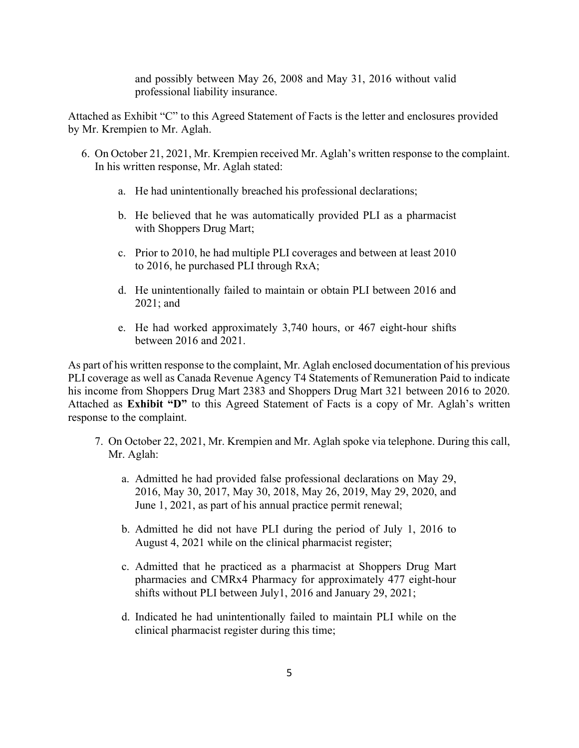and possibly between May 26, 2008 and May 31, 2016 without valid professional liability insurance.

Attached as Exhibit "C" to this Agreed Statement of Facts is the letter and enclosures provided by Mr. Krempien to Mr. Aglah.

- 6. On October 21, 2021, Mr. Krempien received Mr. Aglah's written response to the complaint. In his written response, Mr. Aglah stated:
	- a. He had unintentionally breached his professional declarations;
	- b. He believed that he was automatically provided PLI as a pharmacist with Shoppers Drug Mart;
	- c. Prior to 2010, he had multiple PLI coverages and between at least 2010 to 2016, he purchased PLI through RxA;
	- d. He unintentionally failed to maintain or obtain PLI between 2016 and 2021; and
	- e. He had worked approximately 3,740 hours, or 467 eight-hour shifts between 2016 and 2021.

As part of his written response to the complaint, Mr. Aglah enclosed documentation of his previous PLI coverage as well as Canada Revenue Agency T4 Statements of Remuneration Paid to indicate his income from Shoppers Drug Mart 2383 and Shoppers Drug Mart 321 between 2016 to 2020. Attached as Exhibit "D" to this Agreed Statement of Facts is a copy of Mr. Aglah's written response to the complaint.

- 7. On October 22, 2021, Mr. Krempien and Mr. Aglah spoke via telephone. During this call, Mr. Aglah:
	- a. Admitted he had provided false professional declarations on May 29, 2016, May 30, 2017, May 30, 2018, May 26, 2019, May 29, 2020, and June 1, 2021, as part of his annual practice permit renewal;
	- b. Admitted he did not have PLI during the period of July 1, 2016 to August 4, 2021 while on the clinical pharmacist register;
	- c. Admitted that he practiced as a pharmacist at Shoppers Drug Mart pharmacies and CMRx4 Pharmacy for approximately 477 eight-hour shifts without PLI between July1, 2016 and January 29, 2021;
	- d. Indicated he had unintentionally failed to maintain PLI while on the clinical pharmacist register during this time;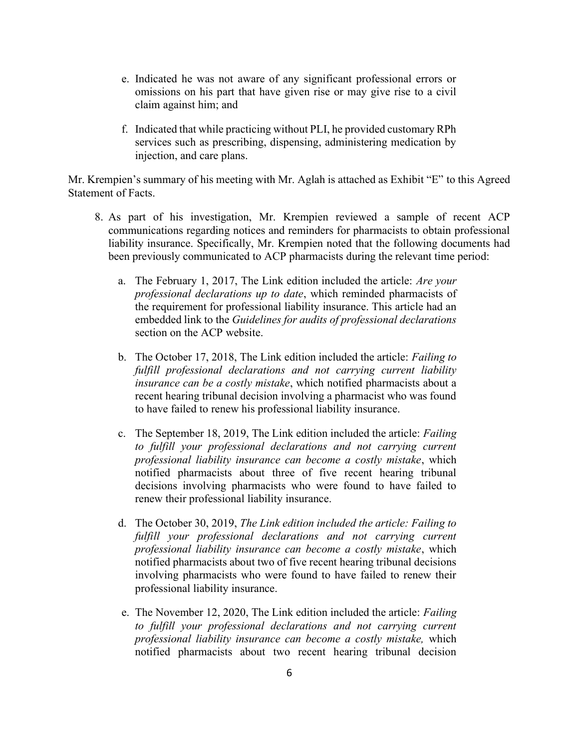- e. Indicated he was not aware of any significant professional errors or omissions on his part that have given rise or may give rise to a civil claim against him; and
- f. Indicated that while practicing without PLI, he provided customary RPh services such as prescribing, dispensing, administering medication by injection, and care plans.

Mr. Krempien's summary of his meeting with Mr. Aglah is attached as Exhibit "E" to this Agreed Statement of Facts.

- 8. As part of his investigation, Mr. Krempien reviewed a sample of recent ACP communications regarding notices and reminders for pharmacists to obtain professional liability insurance. Specifically, Mr. Krempien noted that the following documents had been previously communicated to ACP pharmacists during the relevant time period:
	- a. The February 1, 2017, The Link edition included the article: Are your professional declarations up to date, which reminded pharmacists of the requirement for professional liability insurance. This article had an embedded link to the Guidelines for audits of professional declarations section on the ACP website.
	- b. The October 17, 2018, The Link edition included the article: Failing to fulfill professional declarations and not carrying current liability insurance can be a costly mistake, which notified pharmacists about a recent hearing tribunal decision involving a pharmacist who was found to have failed to renew his professional liability insurance.
	- c. The September 18, 2019, The Link edition included the article: Failing to fulfill your professional declarations and not carrying current professional liability insurance can become a costly mistake, which notified pharmacists about three of five recent hearing tribunal decisions involving pharmacists who were found to have failed to renew their professional liability insurance.
	- d. The October 30, 2019, The Link edition included the article: Failing to fulfill your professional declarations and not carrying current professional liability insurance can become a costly mistake, which notified pharmacists about two of five recent hearing tribunal decisions involving pharmacists who were found to have failed to renew their professional liability insurance.
	- e. The November 12, 2020, The Link edition included the article: Failing to fulfill your professional declarations and not carrying current professional liability insurance can become a costly mistake, which notified pharmacists about two recent hearing tribunal decision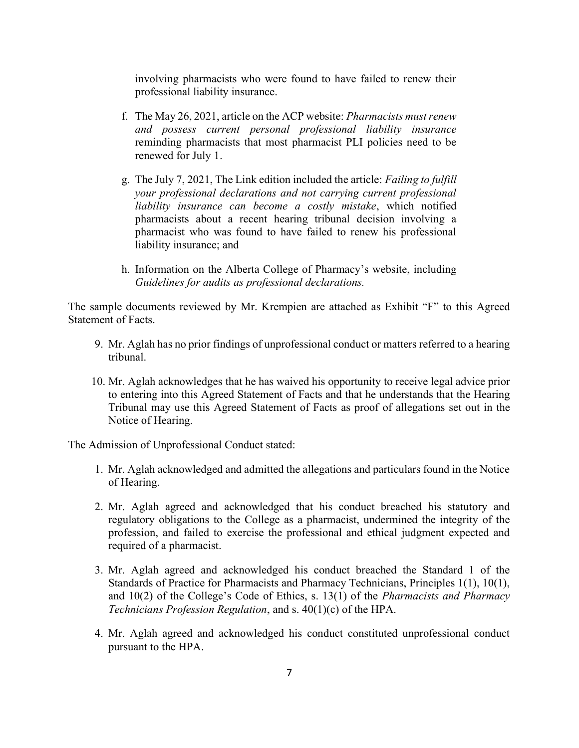involving pharmacists who were found to have failed to renew their professional liability insurance.

- f. The May 26, 2021, article on the ACP website: Pharmacists must renew and possess current personal professional liability insurance reminding pharmacists that most pharmacist PLI policies need to be renewed for July 1.
- g. The July 7, 2021, The Link edition included the article: Failing to fulfill your professional declarations and not carrying current professional liability insurance can become a costly mistake, which notified pharmacists about a recent hearing tribunal decision involving a pharmacist who was found to have failed to renew his professional liability insurance; and
- h. Information on the Alberta College of Pharmacy's website, including Guidelines for audits as professional declarations.

The sample documents reviewed by Mr. Krempien are attached as Exhibit "F" to this Agreed Statement of Facts.

- 9. Mr. Aglah has no prior findings of unprofessional conduct or matters referred to a hearing tribunal.
- 10. Mr. Aglah acknowledges that he has waived his opportunity to receive legal advice prior to entering into this Agreed Statement of Facts and that he understands that the Hearing Tribunal may use this Agreed Statement of Facts as proof of allegations set out in the Notice of Hearing.

The Admission of Unprofessional Conduct stated:

- 1. Mr. Aglah acknowledged and admitted the allegations and particulars found in the Notice of Hearing.
- 2. Mr. Aglah agreed and acknowledged that his conduct breached his statutory and regulatory obligations to the College as a pharmacist, undermined the integrity of the profession, and failed to exercise the professional and ethical judgment expected and required of a pharmacist.
- 3. Mr. Aglah agreed and acknowledged his conduct breached the Standard 1 of the Standards of Practice for Pharmacists and Pharmacy Technicians, Principles 1(1), 10(1), and 10(2) of the College's Code of Ethics, s. 13(1) of the Pharmacists and Pharmacy Technicians Profession Regulation, and s. 40(1)(c) of the HPA.
- 4. Mr. Aglah agreed and acknowledged his conduct constituted unprofessional conduct pursuant to the HPA.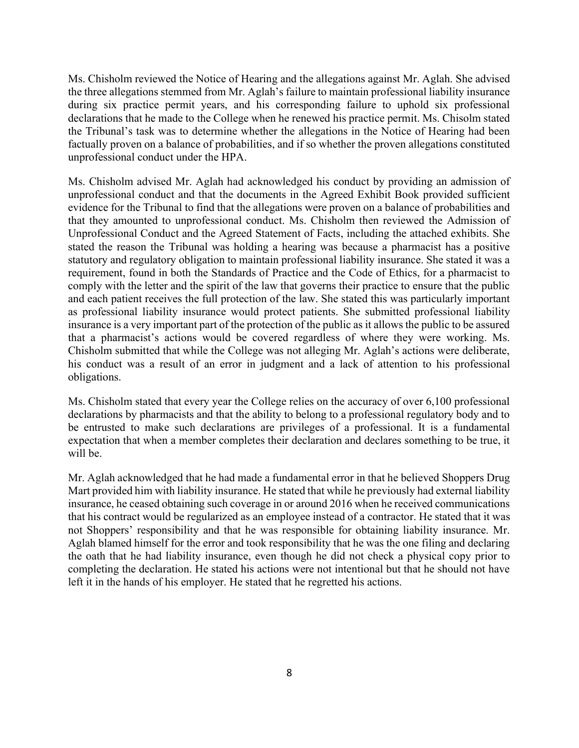Ms. Chisholm reviewed the Notice of Hearing and the allegations against Mr. Aglah. She advised the three allegations stemmed from Mr. Aglah's failure to maintain professional liability insurance during six practice permit years, and his corresponding failure to uphold six professional declarations that he made to the College when he renewed his practice permit. Ms. Chisolm stated the Tribunal's task was to determine whether the allegations in the Notice of Hearing had been factually proven on a balance of probabilities, and if so whether the proven allegations constituted unprofessional conduct under the HPA.

Ms. Chisholm advised Mr. Aglah had acknowledged his conduct by providing an admission of unprofessional conduct and that the documents in the Agreed Exhibit Book provided sufficient evidence for the Tribunal to find that the allegations were proven on a balance of probabilities and that they amounted to unprofessional conduct. Ms. Chisholm then reviewed the Admission of Unprofessional Conduct and the Agreed Statement of Facts, including the attached exhibits. She stated the reason the Tribunal was holding a hearing was because a pharmacist has a positive statutory and regulatory obligation to maintain professional liability insurance. She stated it was a requirement, found in both the Standards of Practice and the Code of Ethics, for a pharmacist to comply with the letter and the spirit of the law that governs their practice to ensure that the public and each patient receives the full protection of the law. She stated this was particularly important as professional liability insurance would protect patients. She submitted professional liability insurance is a very important part of the protection of the public as it allows the public to be assured that a pharmacist's actions would be covered regardless of where they were working. Ms. Chisholm submitted that while the College was not alleging Mr. Aglah's actions were deliberate, his conduct was a result of an error in judgment and a lack of attention to his professional obligations.

Ms. Chisholm stated that every year the College relies on the accuracy of over 6,100 professional declarations by pharmacists and that the ability to belong to a professional regulatory body and to be entrusted to make such declarations are privileges of a professional. It is a fundamental expectation that when a member completes their declaration and declares something to be true, it will be.

Mr. Aglah acknowledged that he had made a fundamental error in that he believed Shoppers Drug Mart provided him with liability insurance. He stated that while he previously had external liability insurance, he ceased obtaining such coverage in or around 2016 when he received communications that his contract would be regularized as an employee instead of a contractor. He stated that it was not Shoppers' responsibility and that he was responsible for obtaining liability insurance. Mr. Aglah blamed himself for the error and took responsibility that he was the one filing and declaring the oath that he had liability insurance, even though he did not check a physical copy prior to completing the declaration. He stated his actions were not intentional but that he should not have left it in the hands of his employer. He stated that he regretted his actions.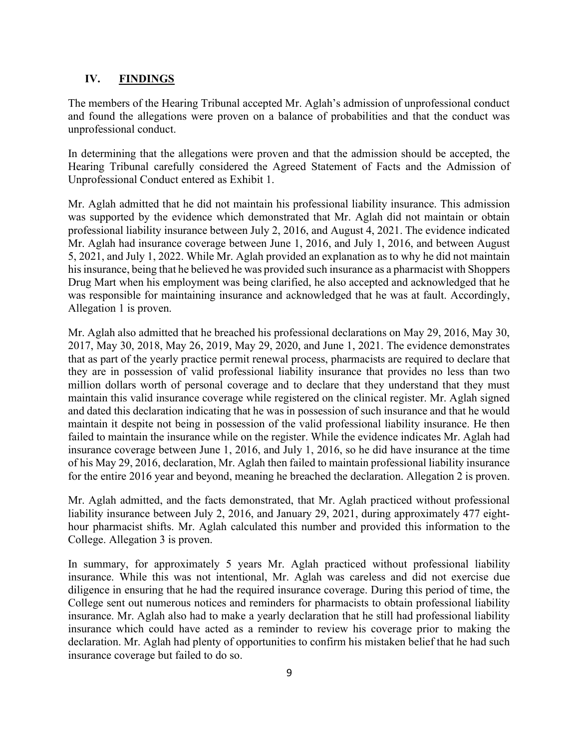#### IV. FINDINGS

The members of the Hearing Tribunal accepted Mr. Aglah's admission of unprofessional conduct and found the allegations were proven on a balance of probabilities and that the conduct was unprofessional conduct.

In determining that the allegations were proven and that the admission should be accepted, the Hearing Tribunal carefully considered the Agreed Statement of Facts and the Admission of Unprofessional Conduct entered as Exhibit 1.

Mr. Aglah admitted that he did not maintain his professional liability insurance. This admission was supported by the evidence which demonstrated that Mr. Aglah did not maintain or obtain professional liability insurance between July 2, 2016, and August 4, 2021. The evidence indicated Mr. Aglah had insurance coverage between June 1, 2016, and July 1, 2016, and between August 5, 2021, and July 1, 2022. While Mr. Aglah provided an explanation as to why he did not maintain his insurance, being that he believed he was provided such insurance as a pharmacist with Shoppers Drug Mart when his employment was being clarified, he also accepted and acknowledged that he was responsible for maintaining insurance and acknowledged that he was at fault. Accordingly, Allegation 1 is proven.

Mr. Aglah also admitted that he breached his professional declarations on May 29, 2016, May 30, 2017, May 30, 2018, May 26, 2019, May 29, 2020, and June 1, 2021. The evidence demonstrates that as part of the yearly practice permit renewal process, pharmacists are required to declare that they are in possession of valid professional liability insurance that provides no less than two million dollars worth of personal coverage and to declare that they understand that they must maintain this valid insurance coverage while registered on the clinical register. Mr. Aglah signed and dated this declaration indicating that he was in possession of such insurance and that he would maintain it despite not being in possession of the valid professional liability insurance. He then failed to maintain the insurance while on the register. While the evidence indicates Mr. Aglah had insurance coverage between June 1, 2016, and July 1, 2016, so he did have insurance at the time of his May 29, 2016, declaration, Mr. Aglah then failed to maintain professional liability insurance for the entire 2016 year and beyond, meaning he breached the declaration. Allegation 2 is proven.

Mr. Aglah admitted, and the facts demonstrated, that Mr. Aglah practiced without professional liability insurance between July 2, 2016, and January 29, 2021, during approximately 477 eighthour pharmacist shifts. Mr. Aglah calculated this number and provided this information to the College. Allegation 3 is proven.

In summary, for approximately 5 years Mr. Aglah practiced without professional liability insurance. While this was not intentional, Mr. Aglah was careless and did not exercise due diligence in ensuring that he had the required insurance coverage. During this period of time, the College sent out numerous notices and reminders for pharmacists to obtain professional liability insurance. Mr. Aglah also had to make a yearly declaration that he still had professional liability insurance which could have acted as a reminder to review his coverage prior to making the declaration. Mr. Aglah had plenty of opportunities to confirm his mistaken belief that he had such insurance coverage but failed to do so.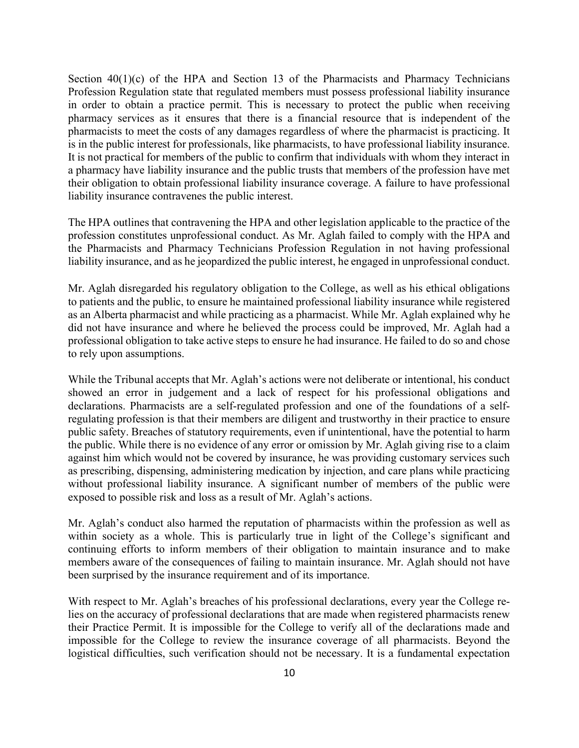Section  $40(1)(c)$  of the HPA and Section 13 of the Pharmacists and Pharmacy Technicians Profession Regulation state that regulated members must possess professional liability insurance in order to obtain a practice permit. This is necessary to protect the public when receiving pharmacy services as it ensures that there is a financial resource that is independent of the pharmacists to meet the costs of any damages regardless of where the pharmacist is practicing. It is in the public interest for professionals, like pharmacists, to have professional liability insurance. It is not practical for members of the public to confirm that individuals with whom they interact in a pharmacy have liability insurance and the public trusts that members of the profession have met their obligation to obtain professional liability insurance coverage. A failure to have professional liability insurance contravenes the public interest.

The HPA outlines that contravening the HPA and other legislation applicable to the practice of the profession constitutes unprofessional conduct. As Mr. Aglah failed to comply with the HPA and the Pharmacists and Pharmacy Technicians Profession Regulation in not having professional liability insurance, and as he jeopardized the public interest, he engaged in unprofessional conduct.

Mr. Aglah disregarded his regulatory obligation to the College, as well as his ethical obligations to patients and the public, to ensure he maintained professional liability insurance while registered as an Alberta pharmacist and while practicing as a pharmacist. While Mr. Aglah explained why he did not have insurance and where he believed the process could be improved, Mr. Aglah had a professional obligation to take active steps to ensure he had insurance. He failed to do so and chose to rely upon assumptions.

While the Tribunal accepts that Mr. Aglah's actions were not deliberate or intentional, his conduct showed an error in judgement and a lack of respect for his professional obligations and declarations. Pharmacists are a self-regulated profession and one of the foundations of a selfregulating profession is that their members are diligent and trustworthy in their practice to ensure public safety. Breaches of statutory requirements, even if unintentional, have the potential to harm the public. While there is no evidence of any error or omission by Mr. Aglah giving rise to a claim against him which would not be covered by insurance, he was providing customary services such as prescribing, dispensing, administering medication by injection, and care plans while practicing without professional liability insurance. A significant number of members of the public were exposed to possible risk and loss as a result of Mr. Aglah's actions.

Mr. Aglah's conduct also harmed the reputation of pharmacists within the profession as well as within society as a whole. This is particularly true in light of the College's significant and continuing efforts to inform members of their obligation to maintain insurance and to make members aware of the consequences of failing to maintain insurance. Mr. Aglah should not have been surprised by the insurance requirement and of its importance.

With respect to Mr. Aglah's breaches of his professional declarations, every year the College relies on the accuracy of professional declarations that are made when registered pharmacists renew their Practice Permit. It is impossible for the College to verify all of the declarations made and impossible for the College to review the insurance coverage of all pharmacists. Beyond the logistical difficulties, such verification should not be necessary. It is a fundamental expectation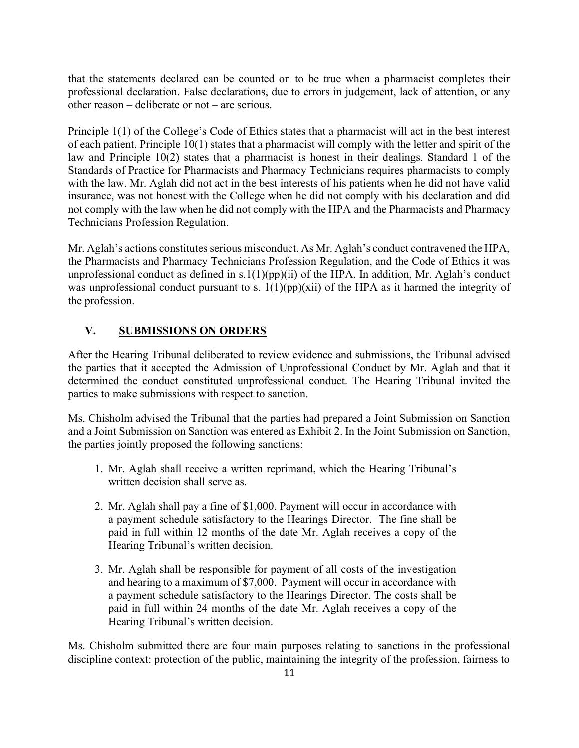that the statements declared can be counted on to be true when a pharmacist completes their professional declaration. False declarations, due to errors in judgement, lack of attention, or any other reason – deliberate or not – are serious.

Principle 1(1) of the College's Code of Ethics states that a pharmacist will act in the best interest of each patient. Principle 10(1) states that a pharmacist will comply with the letter and spirit of the law and Principle 10(2) states that a pharmacist is honest in their dealings. Standard 1 of the Standards of Practice for Pharmacists and Pharmacy Technicians requires pharmacists to comply with the law. Mr. Aglah did not act in the best interests of his patients when he did not have valid insurance, was not honest with the College when he did not comply with his declaration and did not comply with the law when he did not comply with the HPA and the Pharmacists and Pharmacy Technicians Profession Regulation.

Mr. Aglah's actions constitutes serious misconduct. As Mr. Aglah's conduct contravened the HPA, the Pharmacists and Pharmacy Technicians Profession Regulation, and the Code of Ethics it was unprofessional conduct as defined in  $s.1(1)(pp)(ii)$  of the HPA. In addition, Mr. Aglah's conduct was unprofessional conduct pursuant to s.  $1(1)(pp)(xii)$  of the HPA as it harmed the integrity of the profession.

#### V. SUBMISSIONS ON ORDERS

After the Hearing Tribunal deliberated to review evidence and submissions, the Tribunal advised the parties that it accepted the Admission of Unprofessional Conduct by Mr. Aglah and that it determined the conduct constituted unprofessional conduct. The Hearing Tribunal invited the parties to make submissions with respect to sanction.

Ms. Chisholm advised the Tribunal that the parties had prepared a Joint Submission on Sanction and a Joint Submission on Sanction was entered as Exhibit 2. In the Joint Submission on Sanction, the parties jointly proposed the following sanctions:

- 1. Mr. Aglah shall receive a written reprimand, which the Hearing Tribunal's written decision shall serve as.
- 2. Mr. Aglah shall pay a fine of \$1,000. Payment will occur in accordance with a payment schedule satisfactory to the Hearings Director. The fine shall be paid in full within 12 months of the date Mr. Aglah receives a copy of the Hearing Tribunal's written decision.
- 3. Mr. Aglah shall be responsible for payment of all costs of the investigation and hearing to a maximum of \$7,000. Payment will occur in accordance with a payment schedule satisfactory to the Hearings Director. The costs shall be paid in full within 24 months of the date Mr. Aglah receives a copy of the Hearing Tribunal's written decision.

Ms. Chisholm submitted there are four main purposes relating to sanctions in the professional discipline context: protection of the public, maintaining the integrity of the profession, fairness to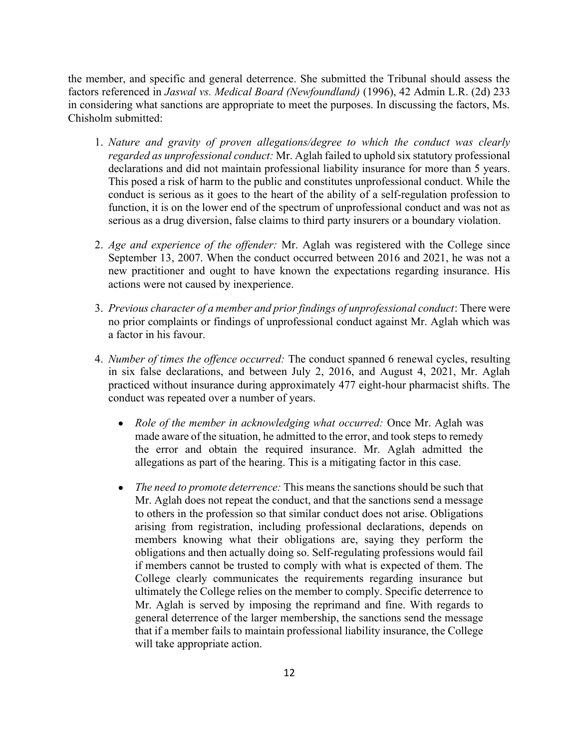the member, and specific and general deterrence. She submitted the Tribunal should assess the factors referenced in Jaswal vs. Medical Board (Newfoundland) (1996), 42 Admin L.R. (2d) 233 in considering what sanctions are appropriate to meet the purposes. In discussing the factors, Ms. Chisholm submitted:

- 1. Nature and gravity of proven allegations/degree to which the conduct was clearly regarded as unprofessional conduct: Mr. Aglah failed to uphold six statutory professional declarations and did not maintain professional liability insurance for more than 5 years. This posed a risk of harm to the public and constitutes unprofessional conduct. While the conduct is serious as it goes to the heart of the ability of a self-regulation profession to function, it is on the lower end of the spectrum of unprofessional conduct and was not as serious as a drug diversion, false claims to third party insurers or a boundary violation.
- 2. Age and experience of the offender: Mr. Aglah was registered with the College since September 13, 2007. When the conduct occurred between 2016 and 2021, he was not a new practitioner and ought to have known the expectations regarding insurance. His actions were not caused by inexperience.
- 3. Previous character of a member and prior findings of unprofessional conduct: There were no prior complaints or findings of unprofessional conduct against Mr. Aglah which was a factor in his favour.
- 4. Number of times the offence occurred: The conduct spanned 6 renewal cycles, resulting in six false declarations, and between July 2, 2016, and August 4, 2021, Mr. Aglah practiced without insurance during approximately 477 eight-hour pharmacist shifts. The conduct was repeated over a number of years.
	- Role of the member in acknowledging what occurred: Once Mr. Aglah was made aware of the situation, he admitted to the error, and took steps to remedy the error and obtain the required insurance. Mr. Aglah admitted the allegations as part of the hearing. This is a mitigating factor in this case.
	- The need to promote deterrence: This means the sanctions should be such that Mr. Aglah does not repeat the conduct, and that the sanctions send a message to others in the profession so that similar conduct does not arise. Obligations arising from registration, including professional declarations, depends on members knowing what their obligations are, saying they perform the obligations and then actually doing so. Self-regulating professions would fail if members cannot be trusted to comply with what is expected of them. The College clearly communicates the requirements regarding insurance but ultimately the College relies on the member to comply. Specific deterrence to Mr. Aglah is served by imposing the reprimand and fine. With regards to general deterrence of the larger membership, the sanctions send the message that if a member fails to maintain professional liability insurance, the College will take appropriate action.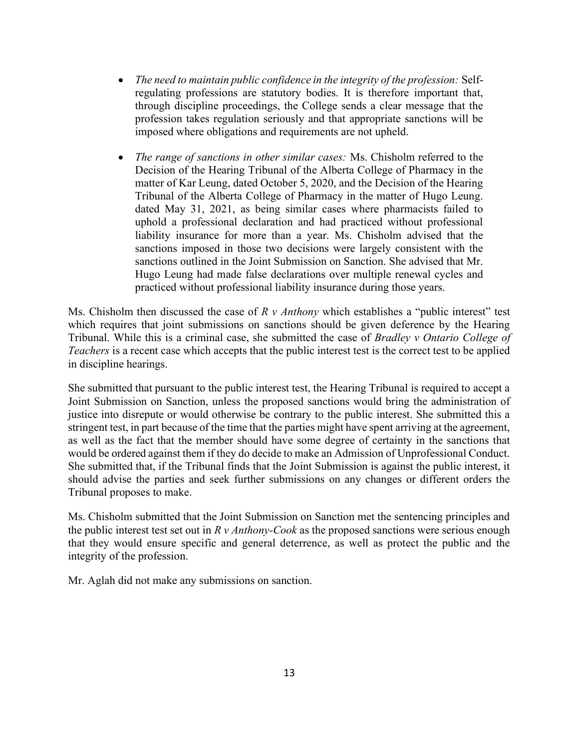- The need to maintain public confidence in the integrity of the profession: Selfregulating professions are statutory bodies. It is therefore important that, through discipline proceedings, the College sends a clear message that the profession takes regulation seriously and that appropriate sanctions will be imposed where obligations and requirements are not upheld.
- The range of sanctions in other similar cases: Ms. Chisholm referred to the  $\bullet$ Decision of the Hearing Tribunal of the Alberta College of Pharmacy in the matter of Kar Leung, dated October 5, 2020, and the Decision of the Hearing Tribunal of the Alberta College of Pharmacy in the matter of Hugo Leung. dated May 31, 2021, as being similar cases where pharmacists failed to uphold a professional declaration and had practiced without professional liability insurance for more than a year. Ms. Chisholm advised that the sanctions imposed in those two decisions were largely consistent with the sanctions outlined in the Joint Submission on Sanction. She advised that Mr. Hugo Leung had made false declarations over multiple renewal cycles and practiced without professional liability insurance during those years.

Ms. Chisholm then discussed the case of  $R \nu$  *Anthony* which establishes a "public interest" test which requires that joint submissions on sanctions should be given deference by the Hearing Tribunal. While this is a criminal case, she submitted the case of Bradley v Ontario College of Teachers is a recent case which accepts that the public interest test is the correct test to be applied in discipline hearings.

She submitted that pursuant to the public interest test, the Hearing Tribunal is required to accept a Joint Submission on Sanction, unless the proposed sanctions would bring the administration of justice into disrepute or would otherwise be contrary to the public interest. She submitted this a stringent test, in part because of the time that the parties might have spent arriving at the agreement, as well as the fact that the member should have some degree of certainty in the sanctions that would be ordered against them if they do decide to make an Admission of Unprofessional Conduct. She submitted that, if the Tribunal finds that the Joint Submission is against the public interest, it should advise the parties and seek further submissions on any changes or different orders the Tribunal proposes to make.

Ms. Chisholm submitted that the Joint Submission on Sanction met the sentencing principles and the public interest test set out in  $R v$  *Anthony-Cook* as the proposed sanctions were serious enough that they would ensure specific and general deterrence, as well as protect the public and the integrity of the profession.

Mr. Aglah did not make any submissions on sanction.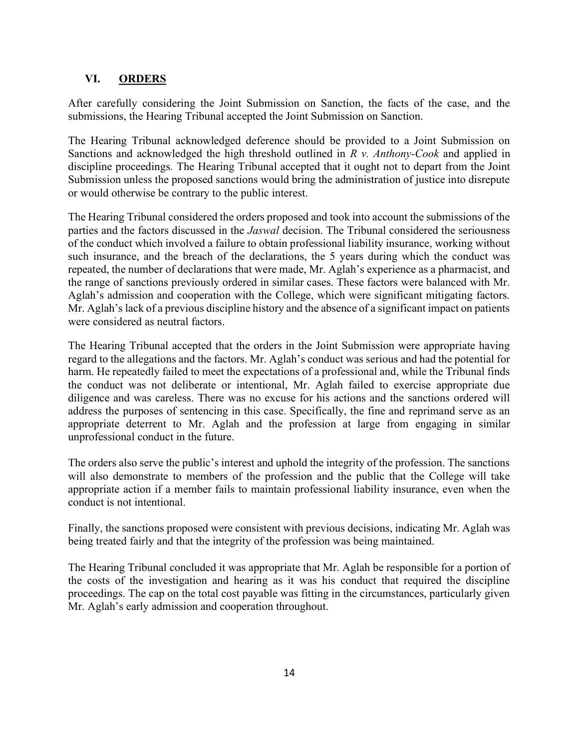### VI. ORDERS

After carefully considering the Joint Submission on Sanction, the facts of the case, and the submissions, the Hearing Tribunal accepted the Joint Submission on Sanction.

The Hearing Tribunal acknowledged deference should be provided to a Joint Submission on Sanctions and acknowledged the high threshold outlined in  $R$  v. Anthony-Cook and applied in discipline proceedings. The Hearing Tribunal accepted that it ought not to depart from the Joint Submission unless the proposed sanctions would bring the administration of justice into disrepute or would otherwise be contrary to the public interest.

The Hearing Tribunal considered the orders proposed and took into account the submissions of the parties and the factors discussed in the *Jaswal* decision. The Tribunal considered the seriousness of the conduct which involved a failure to obtain professional liability insurance, working without such insurance, and the breach of the declarations, the 5 years during which the conduct was repeated, the number of declarations that were made, Mr. Aglah's experience as a pharmacist, and the range of sanctions previously ordered in similar cases. These factors were balanced with Mr. Aglah's admission and cooperation with the College, which were significant mitigating factors. Mr. Aglah's lack of a previous discipline history and the absence of a significant impact on patients were considered as neutral factors.

The Hearing Tribunal accepted that the orders in the Joint Submission were appropriate having regard to the allegations and the factors. Mr. Aglah's conduct was serious and had the potential for harm. He repeatedly failed to meet the expectations of a professional and, while the Tribunal finds the conduct was not deliberate or intentional, Mr. Aglah failed to exercise appropriate due diligence and was careless. There was no excuse for his actions and the sanctions ordered will address the purposes of sentencing in this case. Specifically, the fine and reprimand serve as an appropriate deterrent to Mr. Aglah and the profession at large from engaging in similar unprofessional conduct in the future.

The orders also serve the public's interest and uphold the integrity of the profession. The sanctions will also demonstrate to members of the profession and the public that the College will take appropriate action if a member fails to maintain professional liability insurance, even when the conduct is not intentional.

Finally, the sanctions proposed were consistent with previous decisions, indicating Mr. Aglah was being treated fairly and that the integrity of the profession was being maintained.

The Hearing Tribunal concluded it was appropriate that Mr. Aglah be responsible for a portion of the costs of the investigation and hearing as it was his conduct that required the discipline proceedings. The cap on the total cost payable was fitting in the circumstances, particularly given Mr. Aglah's early admission and cooperation throughout.